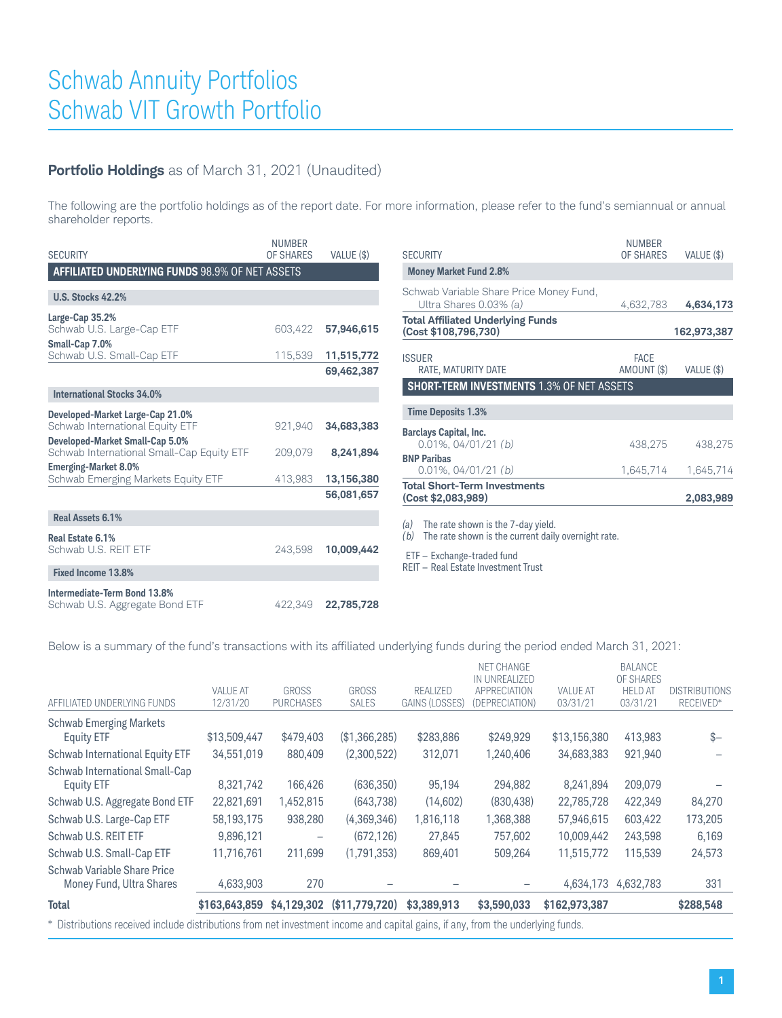## **Portfolio Holdings** as of March 31, 2021 (Unaudited)

The following are the portfolio holdings as of the report date. For more information, please refer to the fund's semiannual or annual shareholder reports.

| <b>SECURITY</b>                                                              | <b>NUMBER</b><br><b>OF SHARES</b> | VALUE (\$) | <b>SECURITY</b>                                                   | <b>NUMBER</b><br>OF SHARES | VALUE (\$)  |
|------------------------------------------------------------------------------|-----------------------------------|------------|-------------------------------------------------------------------|----------------------------|-------------|
| <b>AFFILIATED UNDERLYING FUNDS 98.9% OF NET ASSETS</b>                       |                                   |            | <b>Money Market Fund 2.8%</b>                                     |                            |             |
| <b>U.S. Stocks 42.2%</b>                                                     |                                   |            | Schwab Variable Share Price Money Fund,<br>Ultra Shares 0.03% (a) | 4,632,783                  | 4,634,173   |
| Large-Cap 35.2%<br>Schwab U.S. Large-Cap ETF                                 | 603,422                           | 57,946,615 | <b>Total Affiliated Underlying Funds</b><br>(Cost \$108,796,730)  |                            | 162,973,387 |
| Small-Cap 7.0%<br>Schwab U.S. Small-Cap ETF                                  | 115,539                           | 11,515,772 | <b>ISSUER</b>                                                     | <b>FACE</b>                |             |
|                                                                              |                                   | 69,462,387 | RATE, MATURITY DATE                                               | AMOUNT (\$)                | VALUE (\$)  |
| <b>International Stocks 34.0%</b>                                            |                                   |            | <b>SHORT-TERM INVESTMENTS 1.3% OF NET ASSETS</b>                  |                            |             |
| Developed-Market Large-Cap 21.0%                                             |                                   |            | <b>Time Deposits 1.3%</b>                                         |                            |             |
| Schwab International Equity ETF                                              | 921,940                           | 34,683,383 | <b>Barclays Capital, Inc.</b>                                     |                            |             |
| Developed-Market Small-Cap 5.0%<br>Schwab International Small-Cap Equity ETF | 209,079                           | 8,241,894  | $0.01\%$ , 04/01/21 (b)                                           | 438,275                    | 438,275     |
| <b>Emerging-Market 8.0%</b>                                                  |                                   |            | <b>BNP Paribas</b><br>$0.01\%$ , $04/01/21$ (b)                   | 1.645.714                  | 1,645,714   |
| Schwab Emerging Markets Equity ETF                                           | 413,983                           | 13,156,380 | <b>Total Short-Term Investments</b>                               |                            |             |
|                                                                              |                                   | 56,081,657 | (Cost \$2,083,989)                                                |                            | 2,083,989   |
| Real Assets 6.1%                                                             |                                   |            | The rate shown is the 7-day yield.<br>(a)                         |                            |             |
| Real Estate 6.1%                                                             |                                   |            | The rate shown is the current daily overnight rate.<br>(b)        |                            |             |
| Schwab U.S. REIT ETF                                                         | 243.598                           | 10,009,442 | ETF - Exchange-traded fund                                        |                            |             |
| <b>Fixed Income 13.8%</b>                                                    |                                   |            | REIT - Real Estate Investment Trust                               |                            |             |
| Intermediate-Term Bond 13.8%                                                 |                                   |            |                                                                   |                            |             |
| Schwab U.S. Aggregate Bond ETF                                               | 422.349                           | 22,785,728 |                                                                   |                            |             |

Below is a summary of the fund's transactions with its affiliated underlying funds during the period ended March 31, 2021:

| <b>Total</b>                                            | \$163,643,859               | \$4.129,302                      | (\$11,779,720)               | \$3,389,913                | \$3,590,033                                                                 | \$162,973,387               |                                                           | \$288,548                         |
|---------------------------------------------------------|-----------------------------|----------------------------------|------------------------------|----------------------------|-----------------------------------------------------------------------------|-----------------------------|-----------------------------------------------------------|-----------------------------------|
|                                                         |                             |                                  |                              |                            |                                                                             |                             |                                                           |                                   |
| Schwab Variable Share Price<br>Money Fund, Ultra Shares | 4,633,903                   | 270                              |                              |                            |                                                                             | 4,634,173                   | 4.632.783                                                 | 331                               |
| Schwab U.S. Small-Cap ETF                               | 11,716,761                  | 211,699                          | (1,791,353)                  | 869,401                    | 509,264                                                                     | 11,515,772                  | 115,539                                                   | 24,573                            |
| Schwab U.S. REIT ETF                                    | 9,896,121                   |                                  | (672.126)                    | 27.845                     | 757.602                                                                     | 10.009.442                  | 243.598                                                   | 6,169                             |
| Schwab U.S. Large-Cap ETF                               | 58,193,175                  | 938,280                          | (4,369,346)                  | 1,816,118                  | 1,368,388                                                                   | 57,946,615                  | 603,422                                                   | 173,205                           |
| Schwab U.S. Aggregate Bond ETF                          | 22.821.691                  | 1,452,815                        | (643,738)                    | (14,602)                   | (830, 438)                                                                  | 22,785,728                  | 422,349                                                   | 84,270                            |
| Schwab International Small-Cap<br><b>Equity ETF</b>     | 8.321.742                   | 166,426                          | (636, 350)                   | 95,194                     | 294,882                                                                     | 8,241,894                   | 209,079                                                   |                                   |
| Schwab International Equity ETF                         | 34,551,019                  | 880,409                          | (2,300,522)                  | 312,071                    | 1,240,406                                                                   | 34,683,383                  | 921,940                                                   |                                   |
| <b>Schwab Emerging Markets</b><br><b>Equity ETF</b>     | \$13,509,447                | \$479,403                        | (\$1,366,285)                | \$283,886                  | \$249.929                                                                   | \$13,156,380                | 413,983                                                   | $s-$                              |
| AFFILIATED UNDERLYING FUNDS                             | <b>VALUE AT</b><br>12/31/20 | <b>GROSS</b><br><b>PURCHASES</b> | <b>GROSS</b><br><b>SALES</b> | REALIZED<br>GAINS (LOSSES) | <b>NET CHANGE</b><br>IN UNREALIZED<br><b>APPRECIATION</b><br>(DEPRECIATION) | <b>VALUE AT</b><br>03/31/21 | <b>BALANCE</b><br>OF SHARES<br><b>HELD AT</b><br>03/31/21 | <b>DISTRIBUTIONS</b><br>RECEIVED* |

\* Distributions received include distributions from net investment income and capital gains, if any, from the underlying funds.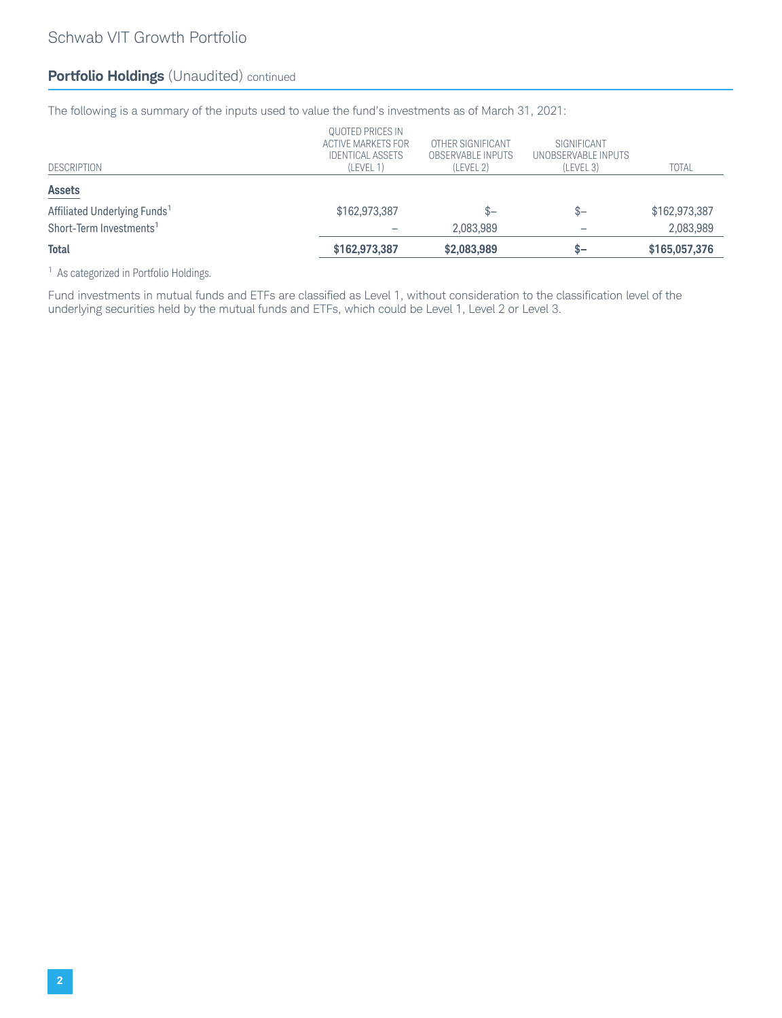## **Portfolio Holdings** (Unaudited) continued

The following is a summary of the inputs used to value the fund's investments as of March 31, 2021:

| Total                                    | \$162,973,387                                                                  | \$2,083,989                                         | $S-$                                            | \$165,057,376 |
|------------------------------------------|--------------------------------------------------------------------------------|-----------------------------------------------------|-------------------------------------------------|---------------|
| Short-Term Investments <sup>1</sup>      |                                                                                | 2.083.989                                           |                                                 | 2,083,989     |
| Affiliated Underlying Funds <sup>1</sup> | \$162,973,387                                                                  | ው–                                                  | $S-$                                            | \$162,973,387 |
| <b>Assets</b>                            |                                                                                |                                                     |                                                 |               |
| <b>DESCRIPTION</b>                       | QUOTED PRICES IN<br>ACTIVE MARKETS FOR<br><b>IDENTICAL ASSETS</b><br>(LEVEL 1) | OTHER SIGNIFICANT<br>OBSERVABLE INPUTS<br>(LEVEL 2) | SIGNIFICANT<br>UNOBSERVABLE INPUTS<br>(LEVEL 3) | <b>TOTAL</b>  |

<sup>1</sup> As categorized in Portfolio Holdings.

Fund investments in mutual funds and ETFs are classified as Level 1, without consideration to the classification level of the underlying securities held by the mutual funds and ETFs, which could be Level 1, Level 2 or Level 3.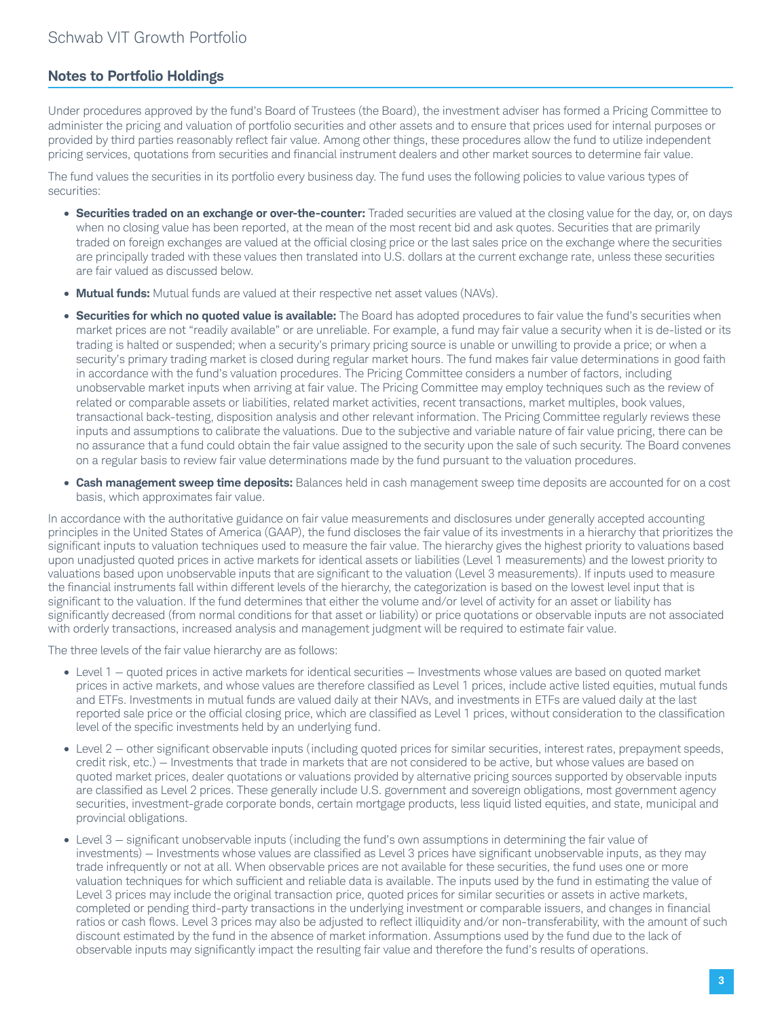## **Notes to Portfolio Holdings**

Under procedures approved by the fund's Board of Trustees (the Board), the investment adviser has formed a Pricing Committee to administer the pricing and valuation of portfolio securities and other assets and to ensure that prices used for internal purposes or provided by third parties reasonably reflect fair value. Among other things, these procedures allow the fund to utilize independent pricing services, quotations from securities and financial instrument dealers and other market sources to determine fair value.

The fund values the securities in its portfolio every business day. The fund uses the following policies to value various types of securities:

- **Securities traded on an exchange or over-the-counter:** Traded securities are valued at the closing value for the day, or, on days when no closing value has been reported, at the mean of the most recent bid and ask quotes. Securities that are primarily traded on foreign exchanges are valued at the official closing price or the last sales price on the exchange where the securities are principally traded with these values then translated into U.S. dollars at the current exchange rate, unless these securities are fair valued as discussed below.
- **Mutual funds:** Mutual funds are valued at their respective net asset values (NAVs).
- **Securities for which no quoted value is available:** The Board has adopted procedures to fair value the fund's securities when market prices are not "readily available" or are unreliable. For example, a fund may fair value a security when it is de-listed or its trading is halted or suspended; when a security's primary pricing source is unable or unwilling to provide a price; or when a security's primary trading market is closed during regular market hours. The fund makes fair value determinations in good faith in accordance with the fund's valuation procedures. The Pricing Committee considers a number of factors, including unobservable market inputs when arriving at fair value. The Pricing Committee may employ techniques such as the review of related or comparable assets or liabilities, related market activities, recent transactions, market multiples, book values, transactional back-testing, disposition analysis and other relevant information. The Pricing Committee regularly reviews these inputs and assumptions to calibrate the valuations. Due to the subjective and variable nature of fair value pricing, there can be no assurance that a fund could obtain the fair value assigned to the security upon the sale of such security. The Board convenes on a regular basis to review fair value determinations made by the fund pursuant to the valuation procedures.
- **Cash management sweep time deposits:** Balances held in cash management sweep time deposits are accounted for on a cost basis, which approximates fair value.

In accordance with the authoritative guidance on fair value measurements and disclosures under generally accepted accounting principles in the United States of America (GAAP), the fund discloses the fair value of its investments in a hierarchy that prioritizes the significant inputs to valuation techniques used to measure the fair value. The hierarchy gives the highest priority to valuations based upon unadjusted quoted prices in active markets for identical assets or liabilities (Level 1 measurements) and the lowest priority to valuations based upon unobservable inputs that are significant to the valuation (Level 3 measurements). If inputs used to measure the financial instruments fall within different levels of the hierarchy, the categorization is based on the lowest level input that is significant to the valuation. If the fund determines that either the volume and/or level of activity for an asset or liability has significantly decreased (from normal conditions for that asset or liability) or price quotations or observable inputs are not associated with orderly transactions, increased analysis and management judgment will be required to estimate fair value.

The three levels of the fair value hierarchy are as follows:

- Level 1 quoted prices in active markets for identical securities Investments whose values are based on quoted market prices in active markets, and whose values are therefore classified as Level 1 prices, include active listed equities, mutual funds and ETFs. Investments in mutual funds are valued daily at their NAVs, and investments in ETFs are valued daily at the last reported sale price or the official closing price, which are classified as Level 1 prices, without consideration to the classification level of the specific investments held by an underlying fund.
- Level 2 other significant observable inputs (including quoted prices for similar securities, interest rates, prepayment speeds, credit risk, etc.) — Investments that trade in markets that are not considered to be active, but whose values are based on quoted market prices, dealer quotations or valuations provided by alternative pricing sources supported by observable inputs are classified as Level 2 prices. These generally include U.S. government and sovereign obligations, most government agency securities, investment-grade corporate bonds, certain mortgage products, less liquid listed equities, and state, municipal and provincial obligations.
- Level 3 significant unobservable inputs (including the fund's own assumptions in determining the fair value of investments) — Investments whose values are classified as Level 3 prices have significant unobservable inputs, as they may trade infrequently or not at all. When observable prices are not available for these securities, the fund uses one or more valuation techniques for which sufficient and reliable data is available. The inputs used by the fund in estimating the value of Level 3 prices may include the original transaction price, quoted prices for similar securities or assets in active markets, completed or pending third-party transactions in the underlying investment or comparable issuers, and changes in financial ratios or cash flows. Level 3 prices may also be adjusted to reflect illiquidity and/or non-transferability, with the amount of such discount estimated by the fund in the absence of market information. Assumptions used by the fund due to the lack of observable inputs may significantly impact the resulting fair value and therefore the fund's results of operations.